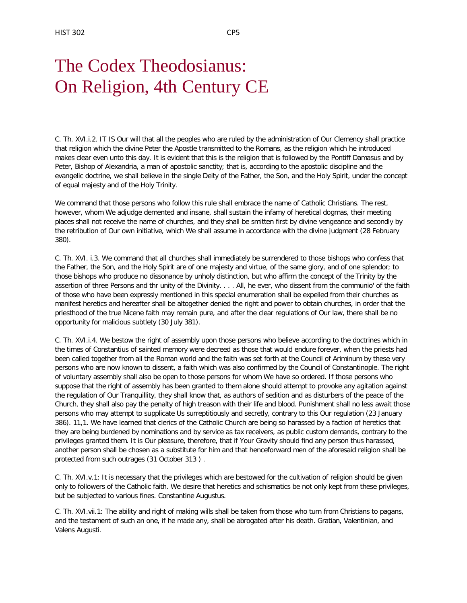## The Codex Theodosianus: On Religion, 4th Century CE

C. Th. XVI.i.2. IT IS Our will that all the peoples who are ruled by the administration of Our Clemency shall practice that religion which the divine Peter the Apostle transmitted to the Romans, as the religion which he introduced makes clear even unto this day. It is evident that this is the religion that is followed by the Pontiff Damasus and by Peter, Bishop of Alexandria, a man of apostolic sanctity; that is, according to the apostolic discipline and the evangelic doctrine, we shall believe in the single Deity of the Father, the Son, and the Holy Spirit, under the concept of equal majesty and of the Holy Trinity.

We command that those persons who follow this rule shall embrace the name of Catholic Christians. The rest, however, whom We adjudge demented and insane, shall sustain the infamy of heretical dogmas, their meeting places shall not receive the name of churches, and they shall be smitten first by divine vengeance and secondly by the retribution of Our own initiative, which We shall assume in accordance with the divine judgment (28 February 380).

C. Th. XVI. i.3. We command that all churches shall immediately be surrendered to those bishops who confess that the Father, the Son, and the Holy Spirit are of one majesty and virtue, of the same glory, and of one splendor; to those bishops who produce no dissonance by unholy distinction, but who affirm the concept of the Trinity by the assertion of three Persons and thr unity of the Divinity. . . . All, he ever, who dissent from the communio' of the faith of those who have been expressly mentioned in this special enumeration shall be expelled from their churches as manifest heretics and hereafter shall be altogether denied the right and power to obtain churches, in order that the priesthood of the true Nicene faith may remain pure, and after the clear regulations of Our law, there shall be no opportunity for malicious subtlety (30 July 381).

C. Th. XVI.i.4. We bestow the right of assembly upon those persons who believe according to the doctrines which in the times of Constantius of sainted memory were decreed as those that would endure forever, when the priests had been called together from all the Roman world and the faith was set forth at the Council of Ariminum by these very persons who are now known to dissent, a faith which was also confirmed by the Council of Constantinople. The right of voluntary assembly shall also be open to those persons for whom We have so ordered. If those persons who suppose that the right of assembly has been granted to them alone should attempt to provoke any agitation against the regulation of Our Tranquillity, they shall know that, as authors of sedition and as disturbers of the peace of the Church, they shall also pay the penalty of high treason with their life and blood. Punishment shall no less await those persons who may attempt to supplicate Us surreptitiously and secretly, contrary to this Our regulation (23 January 386). 11,1. We have learned that clerics of the Catholic Church are being so harassed by a faction of heretics that they are being burdened by nominations and by service as tax receivers, as public custom demands, contrary to the privileges granted them. It is Our pleasure, therefore, that if Your Gravity should find any person thus harassed, another person shall be chosen as a substitute for him and that henceforward men of the aforesaid religion shall be protected from such outrages (31 October 313 ) .

C. Th. XVI.v.1: It is necessary that the privileges which are bestowed for the cultivation of religion should be given only to followers of the Catholic faith. We desire that heretics and schismatics be not only kept from these privileges, but be subjected to various fines. Constantine Augustus.

C. Th. XVI.vii.1: The ability and right of making wills shall be taken from those who turn from Christians to pagans, and the testament of such an one, if he made any, shall be abrogated after his death. Gratian, Valentinian, and Valens Augusti.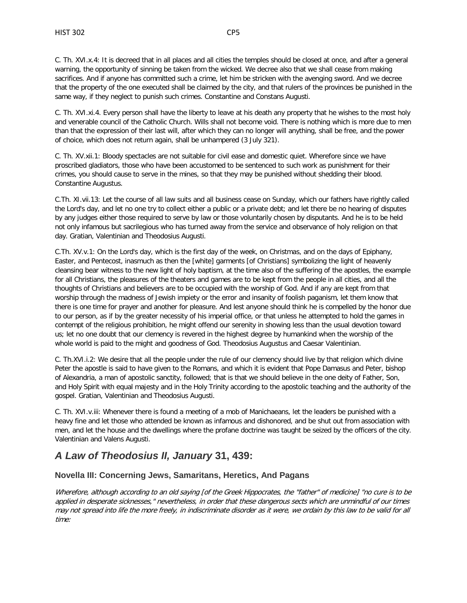C. Th. XVI.x.4: It is decreed that in all places and all cities the temples should be closed at once, and after a general warning, the opportunity of sinning be taken from the wicked. We decree also that we shall cease from making sacrifices. And if anyone has committed such a crime, let him be stricken with the avenging sword. And we decree that the property of the one executed shall be claimed by the city, and that rulers of the provinces be punished in the same way, if they neglect to punish such crimes. Constantine and Constans Augusti.

C. Th. XVI.xi.4. Every person shall have the liberty to leave at his death any property that he wishes to the most holy and venerable council of the Catholic Church. Wills shall not become void. There is nothing which is more due to men than that the expression of their last will, after which they can no longer will anything, shall be free, and the power of choice, which does not return again, shall be unhampered (3 July 321).

C. Th. XV.xii.1: Bloody spectacles are not suitable for civil ease and domestic quiet. Wherefore since we have proscribed gladiators, those who have been accustomed to be sentenced to such work as punishment for their crimes, you should cause to serve in the mines, so that they may be punished without shedding their blood. Constantine Augustus.

C.Th. XI.vii.13: Let the course of all law suits and all business cease on Sunday, which our fathers have rightly called the Lord's day, and let no one try to collect either a public or a private debt; and let there be no hearing of disputes by any judges either those required to serve by law or those voluntarily chosen by disputants. And he is to be held not only infamous but sacrilegious who has turned away from the service and observance of holy religion on that day. Gratian, Valentinian and Theodosius Augusti.

C.Th. XV.v.1: On the Lord's day, which is the first day of the week, on Christmas, and on the days of Epiphany, Easter, and Pentecost, inasmuch as then the [white] garments [of Christians] symbolizing the light of heavenly cleansing bear witness to the new light of holy baptism, at the time also of the suffering of the apostles, the example for all Christians, the pleasures of the theaters and games are to be kept from the people in all cities, and all the thoughts of Christians and believers are to be occupied with the worship of God. And if any are kept from that worship through the madness of Jewish impiety or the error and insanity of foolish paganism, let them know that there is one time for prayer and another for pleasure. And lest anyone should think he is compelled by the honor due to our person, as if by the greater necessity of his imperial office, or that unless he attempted to hold the games in contempt of the religious prohibition, he might offend our serenity in showing less than the usual devotion toward us; let no one doubt that our clemency is revered in the highest degree by humankind when the worship of the whole world is paid to the might and goodness of God. Theodosius Augustus and Caesar Valentinian.

C. Th.XVI.i.2: We desire that all the people under the rule of our clemency should live by that religion which divine Peter the apostle is said to have given to the Romans, and which it is evident that Pope Damasus and Peter, bishop of Alexandria, a man of apostolic sanctity, followed; that is that we should believe in the one deity of Father, Son, and Holy Spirit with equal majesty and in the Holy Trinity according to the apostolic teaching and the authority of the gospel. Gratian, Valentinian and Theodosius Augusti.

C. Th. XVI.v.iii: Whenever there is found a meeting of a mob of Manichaeans, let the leaders be punished with a heavy fine and let those who attended be known as infamous and dishonored, and be shut out from association with men, and let the house and the dwellings where the profane doctrine was taught be seized by the officers of the city. Valentinian and Valens Augusti.

## *A Law of Theodosius II, January* **31, 439:**

## **Novella III: Concerning Jews, Samaritans, Heretics, And Pagans**

Wherefore, although according to an old saying [of the Greek Hippocrates, the "father" of medicine] "no cure is to be applied in desperate sicknesses," nevertheless, in order that these dangerous sects which are unmindful of our times may not spread into life the more freely, in indiscriminate disorder as it were, we ordain by this law to be valid for all time: